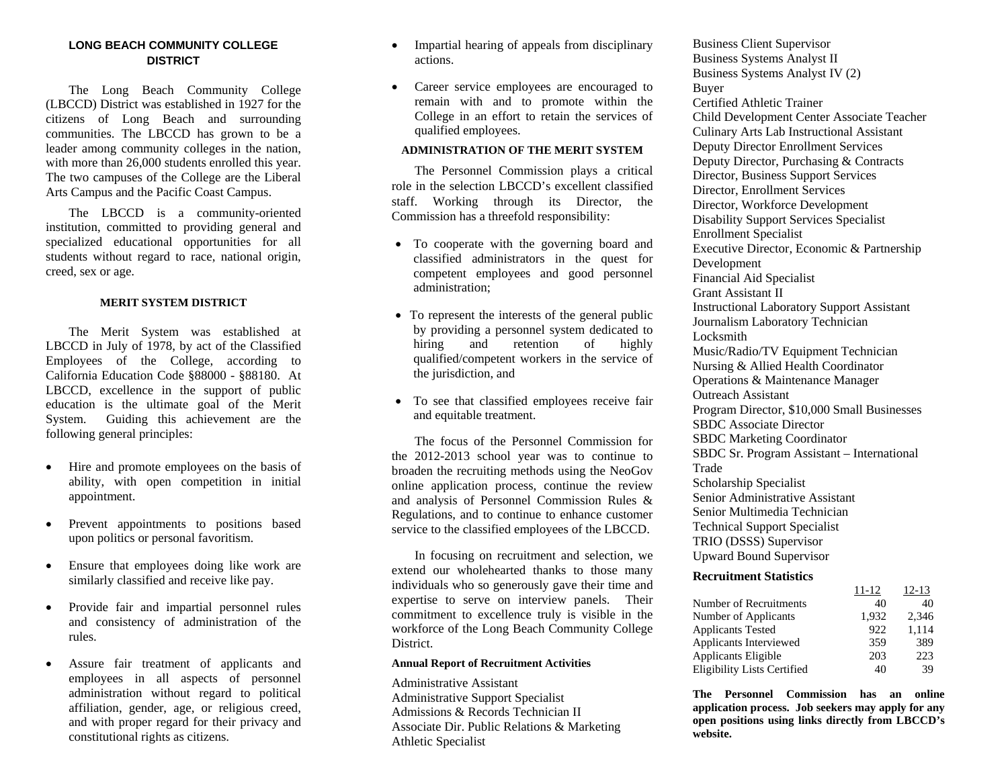## **LONG BEACH COMMUNITY COLLEGE DISTRICT**

 The Long Beach Community College (LBCCD) District was established in 1927 for the citizens of Long Beach and surrounding communities. The LBCCD has grown to be a leader among community colleges in the nation, with more than 26,000 students enrolled this year. The two campuses of the College are the Liberal Arts Campus and the Pacific Coast Campus.

 The LBCCD is a community-oriented institution, committed to providing general and specialized educational opportunities for all students without regard to race, national origin, creed, sex or age.

#### **MERIT SYSTEM DISTRICT**

 The Merit System was established at LBCCD in July of 1978, by act of the Classified Employees of the College, according to California Education Code §88000 - §88180. At LBCCD, excellence in the support of public education is the ultimate goal of the Merit System. Guiding this achievement are the following general principles:

- $\bullet$  Hire and promote employees on the basis of ability, with open competition in initial appointment.
- $\bullet$  Prevent appointments to positions based upon politics or personal favoritism.
- $\bullet$  Ensure that employees doing like work are similarly classified and receive like pay.
- $\bullet$  Provide fair and impartial personnel rules and consistency of administration of the rules.
- $\bullet$  Assure fair treatment of applicants and employees in all aspects of personnel administration without regard to political affiliation, gender, age, or religious creed, and with proper regard for their privacy and constitutional rights as citizens.
- $\bullet$  Impartial hearing of appeals from disciplinary actions.
- $\bullet$  Career service employees are encouraged to remain with and to promote within the College in an effort to retain the services of qualified employees.

#### **ADMINISTRATION OF THE MERIT SYSTEM**

 The Personnel Commission plays a critical role in the selection LBCCD's excellent classified staff. Working through its Director, the Commission has a threefold responsibility:

- To cooperate with the governing board and classified administrators in the quest for competent employees and good personnel administration;
- To represent the interests of the general public by providing a personnel system dedicated to hiring and retention of highly qualified/competent workers in the service of the jurisdiction, and
- To see that classified employees receive fair and equitable treatment.

 The focus of the Personnel Commission for the 2012-2013 school year was to continue to broaden the recruiting methods using the NeoGov online application process, continue the review and analysis of Personnel Commission Rules & Regulations, and to continue to enhance customer service to the classified employees of the LBCCD.

 In focusing on recruitment and selection, we extend our wholehearted thanks to those many individuals who so generously gave their time and expertise to serve on interview panels. Their commitment to excellence truly is visible in the workforce of the Long Beach Community College District.

#### **Annual Report of Recruitment Activities**

Administrative Assistant Administrative Support Specialist Admissions & Records Technician II Associate Dir. Public Relations & Marketing Athletic Specialist

Business Client Supervisor Business Systems Analyst II Business Systems Analyst IV (2) Buyer Certified Athletic Trainer Child Development Center Associate Teacher Culinary Arts Lab Instructional Assistant Deputy Director Enrollment Services Deputy Director, Purchasing & Contracts Director, Business Support Services Director, Enrollment Services Director, Workforce Development Disability Support Services Specialist Enrollment Specialist Executive Director, Economic & Partnership Development Financial Aid Specialist Grant Assistant II Instructional Laboratory Support Assistant Journalism Laboratory Technician Locksmith Music/Radio/TV Equipment Technician Nursing & Allied Health Coordinator Operations & Maintenance Manager Outreach Assistant Program Director, \$10,000 Small Businesses SBDC Associate Director SBDC Marketing Coordinator SBDC Sr. Program Assistant – International Trade Scholarship Specialist Senior Administrative Assistant Senior Multimedia Technician Technical Support Specialist TRIO (DSSS) Supervisor Upward Bound Supervisor

### **Recruitment Statistics**

| 11-12 | 12-13 |
|-------|-------|
| 40    | 40    |
| 1.932 | 2.346 |
| 922   | 1,114 |
| 359   | 389   |
| 203   | 223   |
| 40    | 39    |
|       |       |

**The Personnel Commission has an online application process. Job seekers may apply for any open positions using links directly from LBCCD's website.**